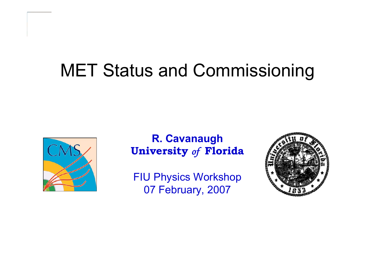## MET Status and Commissioning



#### **R. Cavanaugh University** *of* **Florida**

FIU Physics Workshop 07 February, 2007

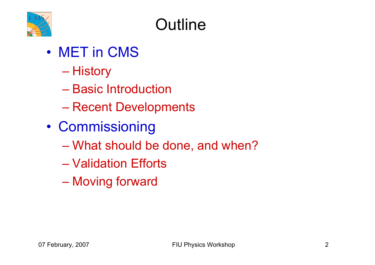

## **Outline**

- MET in CMS
	- History
	- Basic Introduction
	- –Recent Developments
- $\bullet$ **Commissioning** 
	- <del>Jan Karl II.</del><br>Vyhy tysy What should be done, and when?
	- Validation Efforts
	- –Moving forward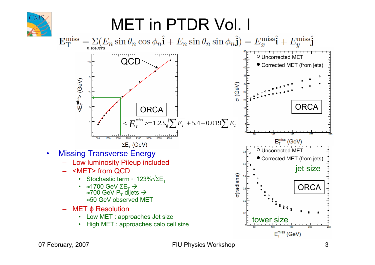

07 February, 2007 **FIU Physics Workshop** 3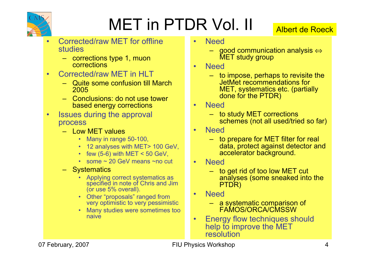

# MET in PTDR Vol. II

#### Albert de Roeck

- • Corrected/raw MET for offline studies
	- corrections type 1, muon corrections
- • Corrected/raw MET in HLT
	- Quite some confusion till March 2005
	- Conclusions: do not use tower based energy corrections
- • Issues during the approval process
	- Low MET values
		- Many in range 50-100,
		- 12 analyses with MET> 100 GeV,
		- few  $(5-6)$  with MET < 50 GeV,
		- some ~ 20 GeV means ~no cut
	- Systematics
		- Applying correct systematics as specified in note of Chris and Jim (or use 5% overall).
		- Other "proposals" ranged from very optimistic to very pessimistic
		- Many studies were sometimes too naive
- • Need
	- good communication analysis ⇔ MET study group
- •**Need** 
	- to impose, perhaps to revisite the JetMet recommendations for MET, systematics etc. (partially done for the PTDR)
- • Need
	- to study MET corrections schemes (not all used/tried so far)
- •**Need** 
	- to prepare for MET filter for real data, protect against detector and accelerator background.
- •**Need** 
	- to get rid of too low MET cut analyses (some sneaked into the PTDR)
- •**Need** 
	- a systematic comparison of FAMOS/ORCA/CMSSW
- • Energy flow techniques should help to improve the MET resolution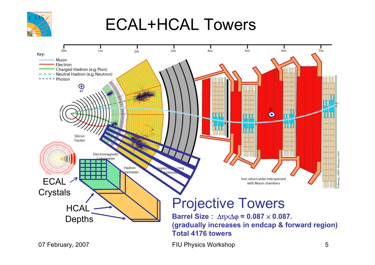

### ECAL+HCAL Towers

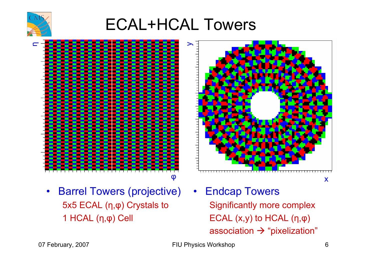

ECAL+HCAL Towers



 $\bullet$  Barrel Towers (projective) • Endcap Towers 5x5 ECAL ( η,φ) Crystals to 1 HCAL ( η,φ) Cell



Significantly more complex ECAL (x,y) to HCAL ( η,φ) association  $\rightarrow$  "pixelization"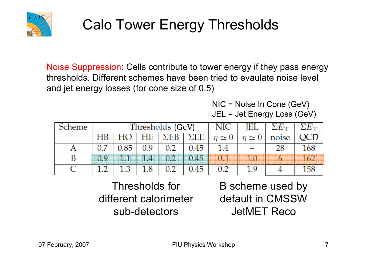

### Calo Tower Energy Thresholds

Noise Suppression: Cells contribute to tower energy if they pass energy thresholds. Different schemes have been tried to evaulate noise level and jet energy losses (for cone size of 0.5)

> NIC = Noise In Cone (GeV) JEL = Jet Energy Loss (GeV)

| Scheme |          |      |     | Thresholds (GeV) | NIC                | JEL           | $\Sigma E_{\rm T}$ | $\Sigma E_{\rm T}$ |     |
|--------|----------|------|-----|------------------|--------------------|---------------|--------------------|--------------------|-----|
|        | HВ       |      | HЕ  | ΣEB              | $\Sigma \text{EE}$ | $n \simeq 0$  | $\eta \simeq 0$    | noise              |     |
|        | 0.7      | 0.85 | 0.9 | 0.2              | 0.45               | $1.4^{\circ}$ |                    | 28                 | 168 |
| B      | $\cap$ Q |      |     |                  | 0,45               | OB.           | I III              |                    |     |
|        |          | 1 ว  | 1.8 | 0.2              | 0.45               | 02            | 1 Q                |                    |     |

Thresholds for different calorimeter sub-detectors

B scheme used by default in CMSSW JetMET Reco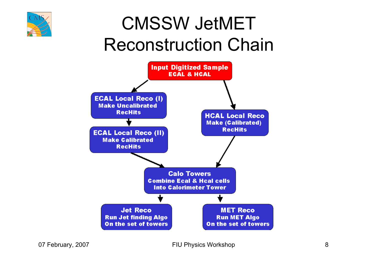

# CMSSW JetMET Reconstruction Chain

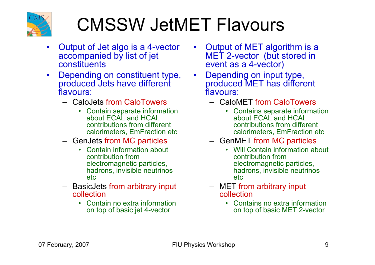

# CMSSW JetMET Flavours

- $\bullet$  Output of Jet algo is a 4-vector accompanied by list of jet constituents
- $\bullet$  Depending on constituent type, produced Jets have different flavours:
	- CaloJets from CaloTowers
		- Contain separate information about ECAL and HCAL contributions from different calorimeters, EmFraction etc
	- GenJets from MC particles
		- • Contain information about contribution from electromagnetic particles, hadrons, invisible neutrinos etc
	- BasicJets from arbitrary input collection
		- Contain no extra information on top of basic jet 4-vector
- • Output of MET algorithm is a MET 2-vector (but stored in event as a 4-vector)
- • Depending on input type, produced MET has different flavours:
	- CaloMET from CaloTowers
		- Contains separate information about ECAL and HCAL contributions from different calorimeters, EmFraction etc
	- GenMET from MC particles
		- • Will Contain information about contribution from electromagnetic particles, hadrons, invisible neutrinos etc
	- MET from arbitrary input collection
		- Contains no extra information on top of basic MET 2-vector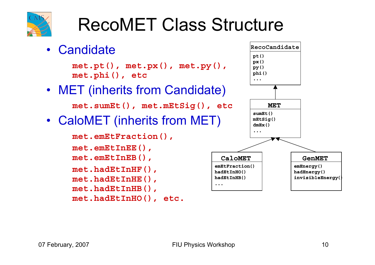

# RecoMET Class Structure

• Candidate**met.pt(), met.px(), met.py(), met.phi(), etc** • MET (inherits from Candidate) **met.sumEt(), met.mEtSig(), etc** • CaloMET (inherits from MET) **met.emEtFraction(), met.emEtInEE(), met.emEtInEB(), met.hadEtInHF(), met.hadEtInHE(),** 

**met.hadEtInHB(),** 

```
met.hadEtInHO(), etc.
```
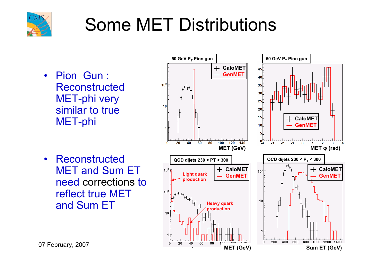

# Some MET Distributions

- Pion Gun : Reconstructed MET-phi very similar to true MET-phi
- $\bullet$ **Reconstructed** MET and Sum ET need corrections to reflect true MET and Sum ET

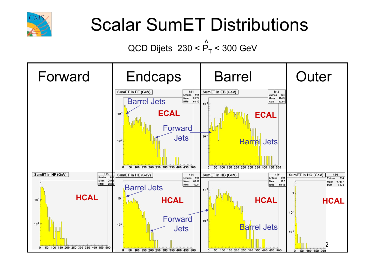

# Scalar SumET Distributions

#### QCD Dijets  $~230$  < P $_{\rm T}$  < 300 GeV ^<br>1

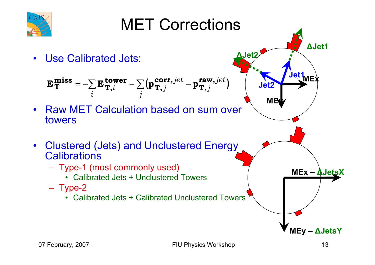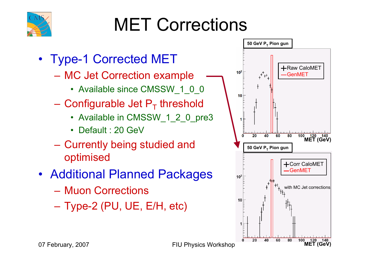

# MET Corrections

- Type-1 Corrected MET
	- – MC Jet Correction example
		- Available since CMSSW\_1\_0\_0
	- Configurable Jet  $P_T$  threshold
		- Available in CMSSW\_1\_2\_0\_pre3
		- Default : 20 GeV
	- Currently being studied and optimised
- Additional Planned Packages
	- Muon Corrections
	- Type-2 (PU, UE, E/H, etc)

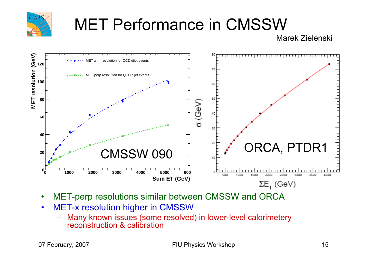

## MET Performance in CMSSW

Marek Zielenski



- •MET-perp resolutions similar between CMSSW and ORCA
- $\bullet$  MET-x resolution higher in CMSSW
	- Many known issues (some resolved) in lower-level calorimetery reconstruction & calibration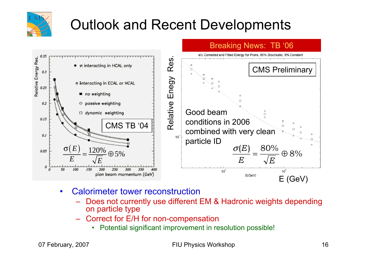

#### Outlook and Recent Developments



- • Calorimeter tower reconstruction
	- Does not currently use different EM & Hadronic weights depending on particle type
	- Correct for E/H for non-compensation
		- Potential significant improvement in resolution possible!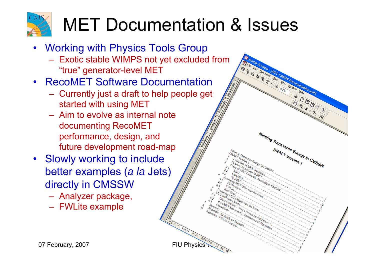

# MET Documentation & Issues

J Is 1 1 0114 1 11

 $\begin{array}{l} \begin{array}{c} \begin{array}{c} \hline \begin{array}{c} \hline \end{array} \\ \hline \end{array} \end{array} \begin{array}{c} \hline \begin{array}{c} \hline \end{array} \\ \hline \begin{array}{c} \hline \end{array} \end{array} \end{array} \begin{array}{c} \hline \begin{array}{c} \hline \end{array} \end{array} \begin{array}{c} \hline \begin{array}{c} \hline \end{array} \end{array} \end{array} \begin{array}{c} \begin{array}{c} \hline \begin{array}{c} \hline \end{array} \end{array} \end{array} \begin{array}{c$ 

Missing Transverse Energy in CMSSW

- Working with Physics Tools Group
	- Exotic stable WIMPS not yet excluded from "true" generator-level MET
- RecoMET Software Documentation
	- Currently just a draft to help people get started with using MET
	- Aim to evolve as internal note documenting RecoMET performance, design, and future development road-map
- Slowly working to include better examples (*a la* Jets) directly in CMSSW
	- Analyzer package,
	- FWLite example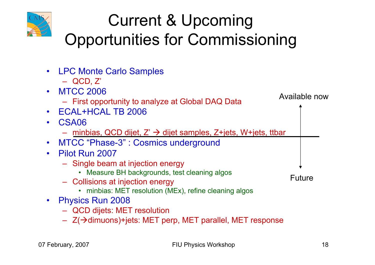

## Current & Upcoming Opportunities for Commissioning

| • LPC Monte Carlo Samples                                                       |               |
|---------------------------------------------------------------------------------|---------------|
| $-$ QCD, $Z'$                                                                   |               |
| • MTCC 2006                                                                     |               |
| - First opportunity to analyze at Global DAQ Data                               | Available now |
| <b>ECAL+HCAL TB 2006</b>                                                        |               |
| CSA06                                                                           |               |
| - minbias, QCD dijet, $Z' \rightarrow$ dijet samples, $Z^+$ jets, W+jets, ttbar |               |
| MTCC "Phase-3": Cosmics underground                                             |               |
| Pilot Run 2007                                                                  |               |
| - Single beam at injection energy                                               |               |
| • Measure BH backgrounds, test cleaning algos                                   | <b>Future</b> |
| - Collisions at injection energy                                                |               |
| • minbias: MET resolution (MEx), refine cleaning algos                          |               |
| <b>Physics Run 2008</b>                                                         |               |
| - QCD dijets: MET resolution                                                    |               |
| $-$ Z( $\rightarrow$ dimuons)+jets: MET perp, MET parallel, MET response        |               |
|                                                                                 |               |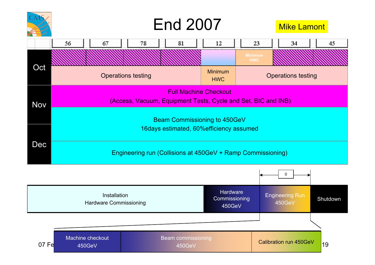

#### Mike Lamont

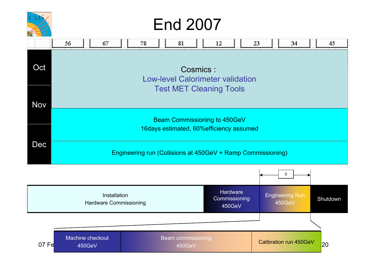

## End 2007

|            | 56                                                                                                                                          | 67                                                                       | 78 | 81 | 12<br>23                       | 34           | 45 |  |  |  |
|------------|---------------------------------------------------------------------------------------------------------------------------------------------|--------------------------------------------------------------------------|----|----|--------------------------------|--------------|----|--|--|--|
| Oct        | Cosmics:<br><b>Low-level Calorimeter validation</b>                                                                                         |                                                                          |    |    |                                |              |    |  |  |  |
| <b>Nov</b> |                                                                                                                                             |                                                                          |    |    | <b>Test MET Cleaning Tools</b> |              |    |  |  |  |
|            |                                                                                                                                             | Beam Commissioning to 450GeV<br>16days estimated, 60% efficiency assumed |    |    |                                |              |    |  |  |  |
| Dec        |                                                                                                                                             |                                                                          |    |    |                                |              |    |  |  |  |
|            | Engineering run (Collisions at 450GeV + Ramp Commissioning)                                                                                 |                                                                          |    |    |                                |              |    |  |  |  |
|            |                                                                                                                                             |                                                                          |    |    |                                | $\mathbf{0}$ |    |  |  |  |
|            | <b>Hardware</b><br><b>Engineering Run</b><br>Installation<br>Commissioning<br>Shutdown<br>450GeV<br><b>Hardware Commissioning</b><br>450GeV |                                                                          |    |    |                                |              |    |  |  |  |

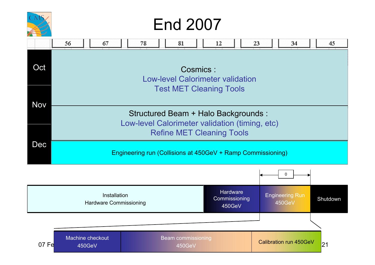

## End 2007

|            | 56<br>67                                                    | 78<br>81                                       | 12                                   | 23<br>34                         | 45       |  |  |  |  |
|------------|-------------------------------------------------------------|------------------------------------------------|--------------------------------------|----------------------------------|----------|--|--|--|--|
| Oct        | Cosmics:<br><b>Low-level Calorimeter validation</b>         |                                                |                                      |                                  |          |  |  |  |  |
| <b>Nov</b> |                                                             |                                                | <b>Test MET Cleaning Tools</b>       |                                  |          |  |  |  |  |
|            |                                                             | Low-level Calorimeter validation (timing, etc) | Structured Beam + Halo Backgrounds : |                                  |          |  |  |  |  |
|            |                                                             |                                                | <b>Refine MET Cleaning Tools</b>     |                                  |          |  |  |  |  |
| Dec        | Engineering run (Collisions at 450GeV + Ramp Commissioning) |                                                |                                      |                                  |          |  |  |  |  |
|            |                                                             |                                                |                                      | 0                                |          |  |  |  |  |
|            | Installation<br><b>Hardware Commissioning</b>               |                                                | Hardware<br>Commissioning<br>450GeV  | <b>Engineering Run</b><br>450GeV | Shutdown |  |  |  |  |
|            |                                                             |                                                |                                      |                                  |          |  |  |  |  |
| 07 Fe      | Machine checkout<br>450GeV                                  | <b>Beam commissioning</b><br>450GeV            |                                      | <b>Calibration run 450GeV</b>    | 21       |  |  |  |  |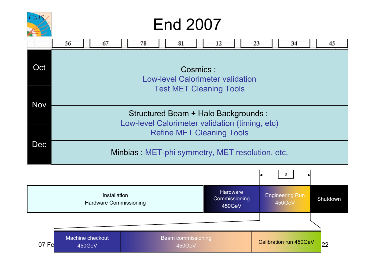

## End 2007

|            | 56                                                  | 67                                            | 78                                                                                     |  | 81                                  |  | 12                                  |  | 23 | 34                               | 45       |
|------------|-----------------------------------------------------|-----------------------------------------------|----------------------------------------------------------------------------------------|--|-------------------------------------|--|-------------------------------------|--|----|----------------------------------|----------|
| Oct        | Cosmics:<br><b>Low-level Calorimeter validation</b> |                                               |                                                                                        |  |                                     |  |                                     |  |    |                                  |          |
| <b>Nov</b> |                                                     |                                               |                                                                                        |  | <b>Test MET Cleaning Tools</b>      |  |                                     |  |    |                                  |          |
|            |                                                     |                                               | Structured Beam + Halo Backgrounds :<br>Low-level Calorimeter validation (timing, etc) |  |                                     |  |                                     |  |    |                                  |          |
|            |                                                     |                                               |                                                                                        |  | <b>Refine MET Cleaning Tools</b>    |  |                                     |  |    |                                  |          |
| Dec        | Minbias: MET-phi symmetry, MET resolution, etc.     |                                               |                                                                                        |  |                                     |  |                                     |  |    |                                  |          |
|            |                                                     |                                               |                                                                                        |  |                                     |  |                                     |  |    | 0                                |          |
|            |                                                     | Installation<br><b>Hardware Commissioning</b> |                                                                                        |  |                                     |  | Hardware<br>Commissioning<br>450GeV |  |    | <b>Engineering Run</b><br>450GeV | Shutdown |
|            |                                                     |                                               |                                                                                        |  |                                     |  |                                     |  |    |                                  |          |
| 07 Fe      | Machine checkout<br>450GeV                          |                                               |                                                                                        |  | <b>Beam commissioning</b><br>450GeV |  |                                     |  |    | <b>Calibration run 450GeV</b>    | 22       |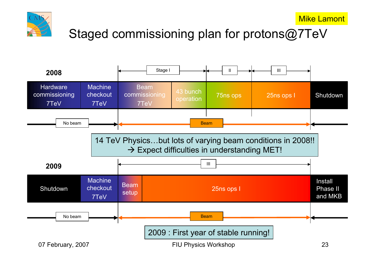



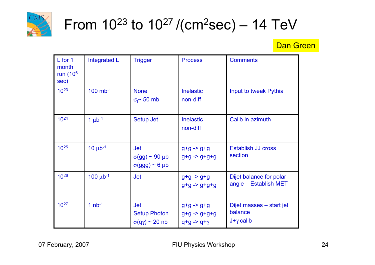

### From 10 $^{23}$  to 10 $^{27}$  /(cm $^{2}$ sec) – 14 TeV

#### **Dan Green**

| L for 1<br>month<br>run $(106$<br>sec) | Integrated L           | <b>Trigger</b>                                                           | <b>Process</b>                                                                 | <b>Comments</b>                                         |
|----------------------------------------|------------------------|--------------------------------------------------------------------------|--------------------------------------------------------------------------------|---------------------------------------------------------|
| $10^{23}$                              | $100$ mb <sup>-1</sup> | <b>None</b><br>$\sigma$ <sup>-</sup> 50 mb                               | <b>Inelastic</b><br>non-diff                                                   | Input to tweak Pythia                                   |
| $10^{24}$                              | $1 \mu b^{-1}$         | Setup Jet                                                                | <b>Inelastic</b><br>non-diff                                                   | Calib in azimuth                                        |
| $10^{25}$                              | $10 \mu b^{-1}$        | <b>Jet</b><br>$\sigma(gg) \sim 90 \,\mu b$<br>$\sigma(ggg) \sim 6 \mu b$ | $g+g \rightarrow g+g$<br>$g+g - > g+g+g$                                       | <b>Establish JJ cross</b><br>section                    |
| 1026                                   | $100 \mu b^{-1}$       | <b>Jet</b>                                                               | $g+g \rightarrow g+g$<br>$g+g - > g+g+g$                                       | Dijet balance for polar<br>angle - Establish MET        |
| $10^{27}$                              | 1 $nb^{-1}$            | <b>Jet</b><br><b>Setup Photon</b><br>$\sigma(q\gamma) \sim 20$ nb        | $g+g \rightarrow g+g$<br>$g+g \rightarrow g+g+g$<br>$q+g \rightarrow q+\gamma$ | Dijet masses - start jet<br>balance<br>$J+\gamma$ calib |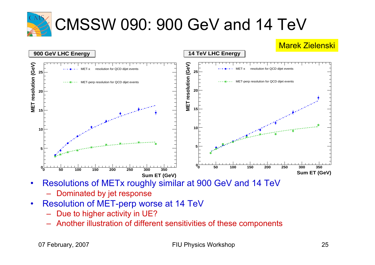

## CMSSW 090: 900 GeV and 14 TeV



- • Resolutions of METx roughly similar at 900 GeV and 14 TeV
	- Dominated by jet response
- • Resolution of MET-perp worse at 14 TeV
	- Due to higher activity in UE?
	- Another illustration of different sensitivities of these components

07 February, 2007 **FIU Physics Workshop** 25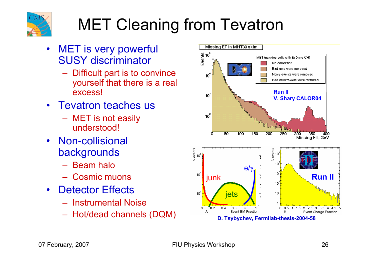

## MET Cleaning from Tevatron

- $\bullet$  MET is very powerful SUSY discriminator
	- Difficult part is to convince yourself that there is a real excess!
- Tevatron teaches us
	- MET is not easily understood!
- Non-collisional backgrounds
	- Beam halo
	- Cosmic muons
- Detector Effects
	- Instrumental Noise
	-

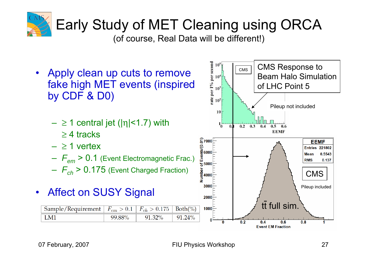

### Early Study of MET Cleaning using ORCA

(of course, Real Data will be different!)

the per  $1\%$  per second<br> $1\%$  per second<br> $1\%$ <br> $\frac{1}{6}$ CMS Response to CMS• Apply clean up cuts to remove Beam Halo Simulationfake high MET events (inspired of LHC Point 5 by CDF & D0) Pileup not included 10  $- \geq 1$  central jet (|η|<1.7) with  $1_{0}^{-}$  $\mathbf{0}$ .  $0.2 \quad 0.3 \quad 0.4$  $0.5$  $0.6$ **EEMF** ≥ 4 tracks  $\begin{bmatrix} 27000 \\ 0.000 \\ \frac{100}{2000} \end{bmatrix}$ **EEMF** – ≥ 1 vertex **Entries 221802 Mean** 0.5543  $rac{5}{6}$  5000 – *Fem* > 0.1 (Event Electromagnetic Frac.) **RMS** 0.137 – *Fch* > 0.175 (Event Charged Fraction) CMS 3000 Pileup included • Affect on SUSY Signal  $2000$ tt full sim. Sample/Requirement  $F_{em} > 0.1$  $F_{ch} > 0.175$  $Both(\%)$  $1000$  $LM1$ 99.88% 91.32% 91.24%  $\bf{0}$  $\overline{0.2}$  $\overline{0}$  $0.4$  $0.6$  $0.8$ 

**Event EM Fraction**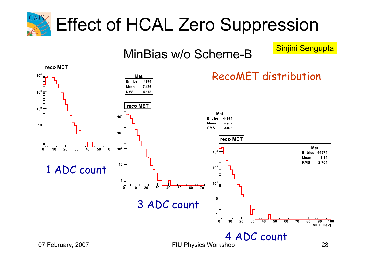

MinBias w/o Scheme-B Sinjini Sengupta

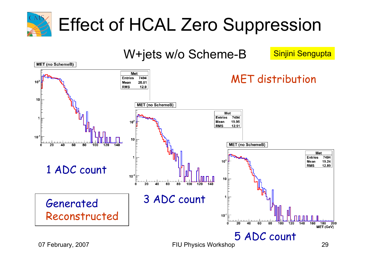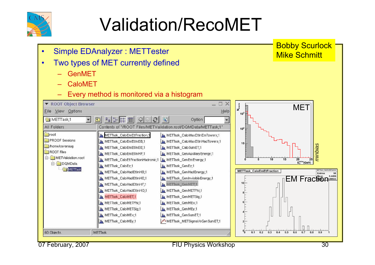

# Validation/RecoMET